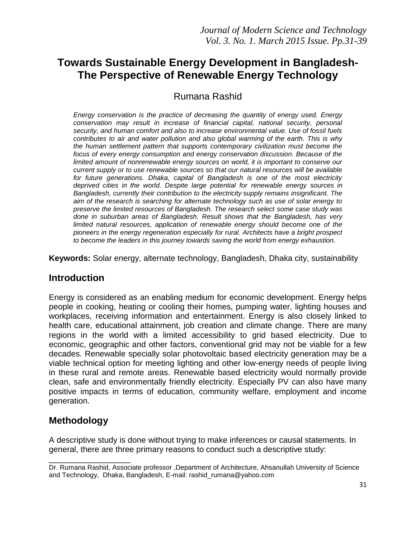# **Towards Sustainable Energy Development in Bangladesh-The Perspective of Renewable Energy Technology**

Rumana Rashid

*Energy conservation is the practice of decreasing the quantity of energy used. Energy conservation may result in increase of financial capital, national security, personal security, and human comfort and also to increase environmental value. Use of fossil fuels contributes to air and water pollution and also global warming of the earth. This is why the human settlement pattern that supports contemporary civilization must become the focus of every energy consumption and energy conservation discussion. Because of the limited amount of nonrenewable energy sources on world, it is important to conserve our current supply or to use renewable sources so that our natural resources will be available for future generations. Dhaka, capital of Bangladesh is one of the most electricity deprived cities in the world. Despite large potential for renewable energy sources in Bangladesh, currently their contribution to the electricity supply remains insignificant. The aim of the research is searching for alternate technology such as use of solar energy to preserve the limited resources of Bangladesh. The research select some case study was done in suburban areas of Bangladesh. Result shows that the Bangladesh, has very limited natural resources, application of renewable energy should become one of the pioneers in the energy regeneration especially for rural. Architects have a bright prospect to become the leaders in this journey towards saving the world from energy exhaustion.*

**Keywords:** Solar energy, alternate technology, Bangladesh, Dhaka city, sustainability

### **Introduction**

Energy is considered as an enabling medium for economic development. Energy helps people in cooking, heating or cooling their homes, pumping water, lighting houses and workplaces, receiving information and entertainment. Energy is also closely linked to health care, educational attainment, job creation and climate change. There are many regions in the world with a limited accessibility to grid based electricity. Due to economic, geographic and other factors, conventional grid may not be viable for a few decades. Renewable specially solar photovoltaic based electricity generation may be a viable technical option for meeting lighting and other low-energy needs of people living in these rural and remote areas. Renewable based electricity would normally provide clean, safe and environmentally friendly electricity. Especially PV can also have many positive impacts in terms of education, community welfare, employment and income generation.

## **Methodology**

A descriptive study is done without trying to make inferences or causal statements. In general, there are three primary reasons to conduct such a descriptive study:

\_\_\_\_\_\_\_\_\_\_\_\_\_\_\_\_\_\_ Dr. Rumana Rashid, Associate professor ,Department of Architecture, Ahsanullah University of Science and Technology, Dhaka, Bangladesh, E-mail: rashid\_rumana@yahoo.com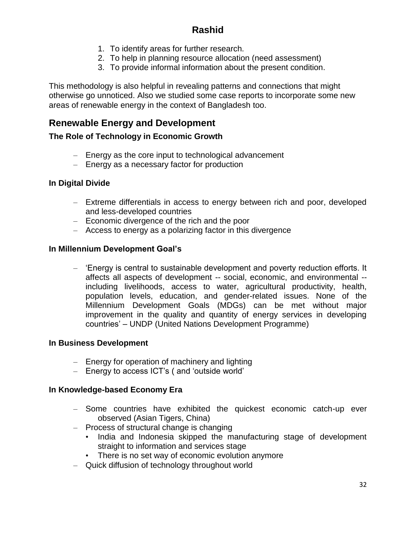- 1. To identify areas for further research.
- 2. To help in planning resource allocation (need assessment)
- 3. To provide informal information about the present condition.

This methodology is also helpful in revealing patterns and connections that might otherwise go unnoticed. Also we studied some case reports to incorporate some new areas of renewable energy in the context of Bangladesh too.

# **Renewable Energy and Development**

#### **The Role of Technology in Economic Growth**

- Energy as the core input to technological advancement
- Energy as a necessary factor for production

#### **In Digital Divide**

- Extreme differentials in access to energy between rich and poor, developed and less-developed countries
- Economic divergence of the rich and the poor
- Access to energy as a polarizing factor in this divergence

#### **In Millennium Development Goal's**

– 'Energy is central to sustainable development and poverty reduction efforts. It affects all aspects of development -- social, economic, and environmental - including livelihoods, access to water, agricultural productivity, health, population levels, education, and gender-related issues. None of the Millennium Development Goals (MDGs) can be met without major improvement in the quality and quantity of energy services in developing countries' – UNDP (United Nations Development Programme)

#### **In Business Development**

- Energy for operation of machinery and lighting
- Energy to access ICT's ( and 'outside world'

#### **In Knowledge-based Economy Era**

- Some countries have exhibited the quickest economic catch-up ever observed (Asian Tigers, China)
- Process of structural change is changing
	- India and Indonesia skipped the manufacturing stage of development straight to information and services stage
	- There is no set way of economic evolution anymore
- Quick diffusion of technology throughout world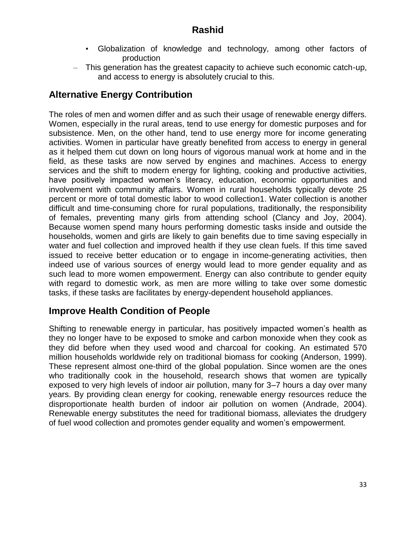- Globalization of knowledge and technology, among other factors of production
- This generation has the greatest capacity to achieve such economic catch-up, and access to energy is absolutely crucial to this.

# **Alternative Energy Contribution**

The roles of men and women differ and as such their usage of renewable energy differs. Women, especially in the rural areas, tend to use energy for domestic purposes and for subsistence. Men, on the other hand, tend to use energy more for income generating activities. Women in particular have greatly benefited from access to energy in general as it helped them cut down on long hours of vigorous manual work at home and in the field, as these tasks are now served by engines and machines. Access to energy services and the shift to modern energy for lighting, cooking and productive activities, have positively impacted women's literacy, education, economic opportunities and involvement with community affairs. Women in rural households typically devote 25 percent or more of total domestic labor to wood collection1. Water collection is another difficult and time-consuming chore for rural populations, traditionally, the responsibility of females, preventing many girls from attending school (Clancy and Joy, 2004). Because women spend many hours performing domestic tasks inside and outside the households, women and girls are likely to gain benefits due to time saving especially in water and fuel collection and improved health if they use clean fuels. If this time saved issued to receive better education or to engage in income-generating activities, then indeed use of various sources of energy would lead to more gender equality and as such lead to more women empowerment. Energy can also contribute to gender equity with regard to domestic work, as men are more willing to take over some domestic tasks, if these tasks are facilitates by energy-dependent household appliances.

## **Improve Health Condition of People**

Shifting to renewable energy in particular, has positively impacted women's health as they no longer have to be exposed to smoke and carbon monoxide when they cook as they did before when they used wood and charcoal for cooking. An estimated 570 million households worldwide rely on traditional biomass for cooking (Anderson, 1999). These represent almost one-third of the global population. Since women are the ones who traditionally cook in the household, research shows that women are typically exposed to very high levels of indoor air pollution, many for 3–7 hours a day over many years. By providing clean energy for cooking, renewable energy resources reduce the disproportionate health burden of indoor air pollution on women (Andrade, 2004). Renewable energy substitutes the need for traditional biomass, alleviates the drudgery of fuel wood collection and promotes gender equality and women's empowerment.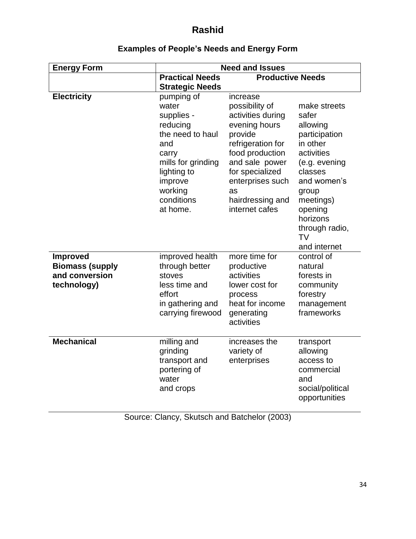| <b>Energy Form</b>                                                         | <b>Need and Issues</b>                                                                                                                                                 |                                                                                                                                                                                                                          |                                                                                                                                                                                                                     |
|----------------------------------------------------------------------------|------------------------------------------------------------------------------------------------------------------------------------------------------------------------|--------------------------------------------------------------------------------------------------------------------------------------------------------------------------------------------------------------------------|---------------------------------------------------------------------------------------------------------------------------------------------------------------------------------------------------------------------|
|                                                                            | <b>Practical Needs</b><br><b>Strategic Needs</b>                                                                                                                       | <b>Productive Needs</b>                                                                                                                                                                                                  |                                                                                                                                                                                                                     |
| <b>Electricity</b>                                                         | pumping of<br>water<br>supplies -<br>reducing<br>the need to haul<br>and<br>carry<br>mills for grinding<br>lighting to<br>improve<br>working<br>conditions<br>at home. | increase<br>possibility of<br>activities during<br>evening hours<br>provide<br>refrigeration for<br>food production<br>and sale power<br>for specialized<br>enterprises such<br>as<br>hairdressing and<br>internet cafes | make streets<br>safer<br>allowing<br>participation<br>in other<br>activities<br>(e.g. evening<br>classes<br>and women's<br>group<br>meetings)<br>opening<br>horizons<br>through radio,<br><b>TV</b><br>and internet |
| <b>Improved</b><br><b>Biomass (supply</b><br>and conversion<br>technology) | improved health<br>through better<br>stoves<br>less time and<br>effort<br>in gathering and<br>carrying firewood                                                        | more time for<br>productive<br>activities<br>lower cost for<br>process<br>heat for income<br>generating<br>activities                                                                                                    | control of<br>natural<br>forests in<br>community<br>forestry<br>management<br>frameworks                                                                                                                            |
| <b>Mechanical</b>                                                          | milling and<br>grinding<br>transport and<br>portering of<br>water<br>and crops                                                                                         | increases the<br>variety of<br>enterprises                                                                                                                                                                               | transport<br>allowing<br>access to<br>commercial<br>and<br>social/political<br>opportunities                                                                                                                        |

# **Examples of People's Needs and Energy Form**

Source: Clancy, Skutsch and Batchelor (2003)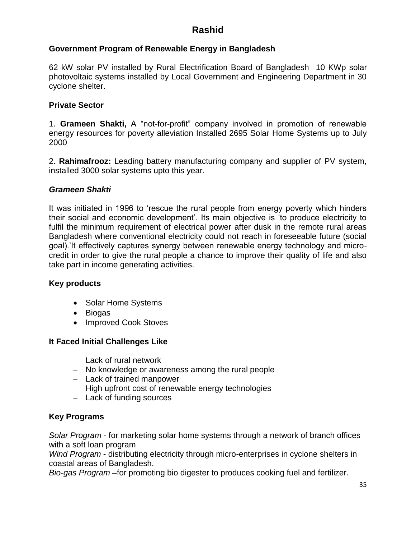#### **Government Program of Renewable Energy in Bangladesh**

62 kW solar PV installed by Rural Electrification Board of Bangladesh 10 KWp solar photovoltaic systems installed by Local Government and Engineering Department in 30 cyclone shelter.

#### **Private Sector**

1. **Grameen Shakti,** A "not-for-profit" company involved in promotion of renewable energy resources for poverty alleviation Installed 2695 Solar Home Systems up to July 2000

2. **Rahimafrooz:** Leading battery manufacturing company and supplier of PV system, installed 3000 solar systems upto this year.

#### *Grameen Shakti*

It was initiated in 1996 to 'rescue the rural people from energy poverty which hinders their social and economic development'. Its main objective is 'to produce electricity to fulfil the minimum requirement of electrical power after dusk in the remote rural areas Bangladesh where conventional electricity could not reach in foreseeable future (social goal).'It effectively captures synergy between renewable energy technology and microcredit in order to give the rural people a chance to improve their quality of life and also take part in income generating activities.

#### **Key products**

- Solar Home Systems
- Biogas
- Improved Cook Stoves

#### **It Faced Initial Challenges Like**

- Lack of rural network
- No knowledge or awareness among the rural people
- Lack of trained manpower
- High upfront cost of renewable energy technologies
- Lack of funding sources

#### **Key Programs**

*Solar Program* - for marketing solar home systems through a network of branch offices with a soft loan program

*Wind Program* - distributing electricity through micro-enterprises in cyclone shelters in coastal areas of Bangladesh.

*Bio-gas Program* –for promoting bio digester to produces cooking fuel and fertilizer.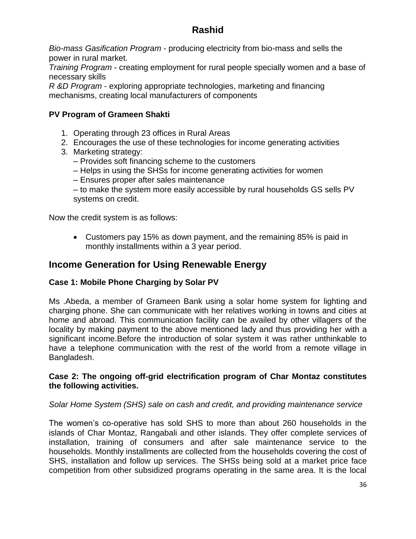*Bio-mass Gasification Program* - producing electricity from bio-mass and sells the power in rural market.

*Training Program* - creating employment for rural people specially women and a base of necessary skills

*R &D Program* - exploring appropriate technologies, marketing and financing mechanisms, creating local manufacturers of components

#### **PV Program of Grameen Shakti**

- 1. Operating through 23 offices in Rural Areas
- 2. Encourages the use of these technologies for income generating activities
- 3. Marketing strategy:
	- Provides soft financing scheme to the customers
	- Helps in using the SHSs for income generating activities for women
	- Ensures proper after sales maintenance

– to make the system more easily accessible by rural households GS sells PV systems on credit.

Now the credit system is as follows:

 Customers pay 15% as down payment, and the remaining 85% is paid in monthly installments within a 3 year period.

### **Income Generation for Using Renewable Energy**

#### **Case 1: Mobile Phone Charging by Solar PV**

Ms .Abeda, a member of Grameen Bank using a solar home system for lighting and charging phone. She can communicate with her relatives working in towns and cities at home and abroad. This communication facility can be availed by other villagers of the locality by making payment to the above mentioned lady and thus providing her with a significant income.Before the introduction of solar system it was rather unthinkable to have a telephone communication with the rest of the world from a remote village in Bangladesh.

#### **Case 2: The ongoing off-grid electrification program of Char Montaz constitutes the following activities.**

#### *Solar Home System (SHS) sale on cash and credit, and providing maintenance service*

The women's co-operative has sold SHS to more than about 260 households in the islands of Char Montaz, Rangabali and other islands. They offer complete services of installation, training of consumers and after sale maintenance service to the households. Monthly installments are collected from the households covering the cost of SHS, installation and follow up services. The SHSs being sold at a market price face competition from other subsidized programs operating in the same area. It is the local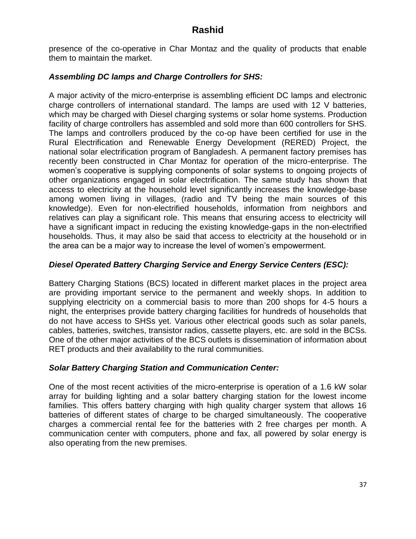presence of the co-operative in Char Montaz and the quality of products that enable them to maintain the market.

#### *Assembling DC lamps and Charge Controllers for SHS:*

A major activity of the micro-enterprise is assembling efficient DC lamps and electronic charge controllers of international standard. The lamps are used with 12 V batteries, which may be charged with Diesel charging systems or solar home systems. Production facility of charge controllers has assembled and sold more than 600 controllers for SHS. The lamps and controllers produced by the co-op have been certified for use in the Rural Electrification and Renewable Energy Development (RERED) Project, the national solar electrification program of Bangladesh. A permanent factory premises has recently been constructed in Char Montaz for operation of the micro-enterprise. The women's cooperative is supplying components of solar systems to ongoing projects of other organizations engaged in solar electrification. The same study has shown that access to electricity at the household level significantly increases the knowledge-base among women living in villages, (radio and TV being the main sources of this knowledge). Even for non-electrified households, information from neighbors and relatives can play a significant role. This means that ensuring access to electricity will have a significant impact in reducing the existing knowledge-gaps in the non-electrified households. Thus, it may also be said that access to electricity at the household or in the area can be a major way to increase the level of women's empowerment.

#### *Diesel Operated Battery Charging Service and Energy Service Centers (ESC):*

Battery Charging Stations (BCS) located in different market places in the project area are providing important service to the permanent and weekly shops. In addition to supplying electricity on a commercial basis to more than 200 shops for 4-5 hours a night, the enterprises provide battery charging facilities for hundreds of households that do not have access to SHSs yet. Various other electrical goods such as solar panels, cables, batteries, switches, transistor radios, cassette players, etc. are sold in the BCSs. One of the other major activities of the BCS outlets is dissemination of information about RET products and their availability to the rural communities.

#### *Solar Battery Charging Station and Communication Center:*

One of the most recent activities of the micro-enterprise is operation of a 1.6 kW solar array for building lighting and a solar battery charging station for the lowest income families. This offers battery charging with high quality charger system that allows 16 batteries of different states of charge to be charged simultaneously. The cooperative charges a commercial rental fee for the batteries with 2 free charges per month. A communication center with computers, phone and fax, all powered by solar energy is also operating from the new premises.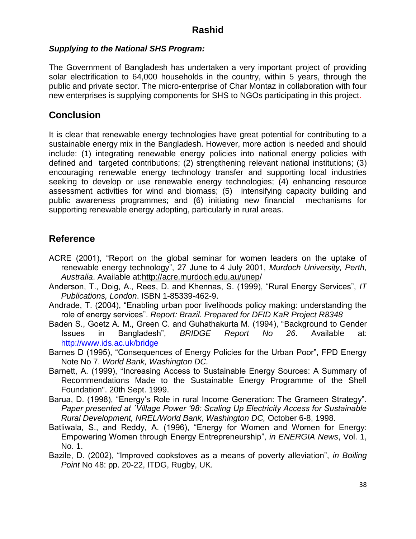#### *Supplying to the National SHS Program:*

The Government of Bangladesh has undertaken a very important project of providing solar electrification to 64,000 households in the country, within 5 years, through the public and private sector. The micro-enterprise of Char Montaz in collaboration with four new enterprises is supplying components for SHS to NGOs participating in this project.

# **Conclusion**

It is clear that renewable energy technologies have great potential for contributing to a sustainable energy mix in the Bangladesh. However, more action is needed and should include: (1) integrating renewable energy policies into national energy policies with defined and targeted contributions; (2) strengthening relevant national institutions; (3) encouraging renewable energy technology transfer and supporting local industries seeking to develop or use renewable energy technologies; (4) enhancing resource assessment activities for wind and biomass; (5) intensifying capacity building and public awareness programmes; and (6) initiating new financial mechanisms for supporting renewable energy adopting, particularly in rural areas.

# **Reference**

- ACRE (2001), "Report on the global seminar for women leaders on the uptake of renewable energy technology", 27 June to 4 July 2001, *Murdoch University, Perth, Australia*. Available at[:http://acre.murdoch.edu.au/unep/](http://acre.murdoch.edu.au/unep/)
- Anderson, T., Doig, A., Rees, D. and Khennas, S. (1999), "Rural Energy Services", *IT Publications, London*. ISBN 1-85339-462-9.
- Andrade, T. (2004), "Enabling urban poor livelihoods policy making: understanding the role of energy services". *Report: Brazil. Prepared for DFID KaR Project R8348*
- Baden S., Goetz A. M., Green C. and Guhathakurta M. (1994), "Background to Gender Issues in Bangladesh", *BRIDGE Report No 26*. Available at: <http://www.ids.ac.uk/bridge>
- Barnes D (1995), "Consequences of Energy Policies for the Urban Poor", FPD Energy Note No 7. *World Bank, Washington DC.*
- Barnett, A. (1999), "Increasing Access to Sustainable Energy Sources: A Summary of Recommendations Made to the Sustainable Energy Programme of the Shell Foundation". 20th Sept. 1999.
- Barua, D. (1998), "Energy's Role in rural Income Generation: The Grameen Strategy". *Paper presented at ´Village Power '98: Scaling Up Electricity Access for Sustainable Rural Development, NREL/World Bank, Washington DC,* October 6-8, 1998.
- Batliwala, S., and Reddy, A. (1996), "Energy for Women and Women for Energy: Empowering Women through Energy Entrepreneurship", *in ENERGIA News*, Vol. 1, No. 1.
- Bazile, D. (2002), "Improved cookstoves as a means of poverty alleviation", *in Boiling Point* No 48: pp. 20-22, ITDG, Rugby, UK.